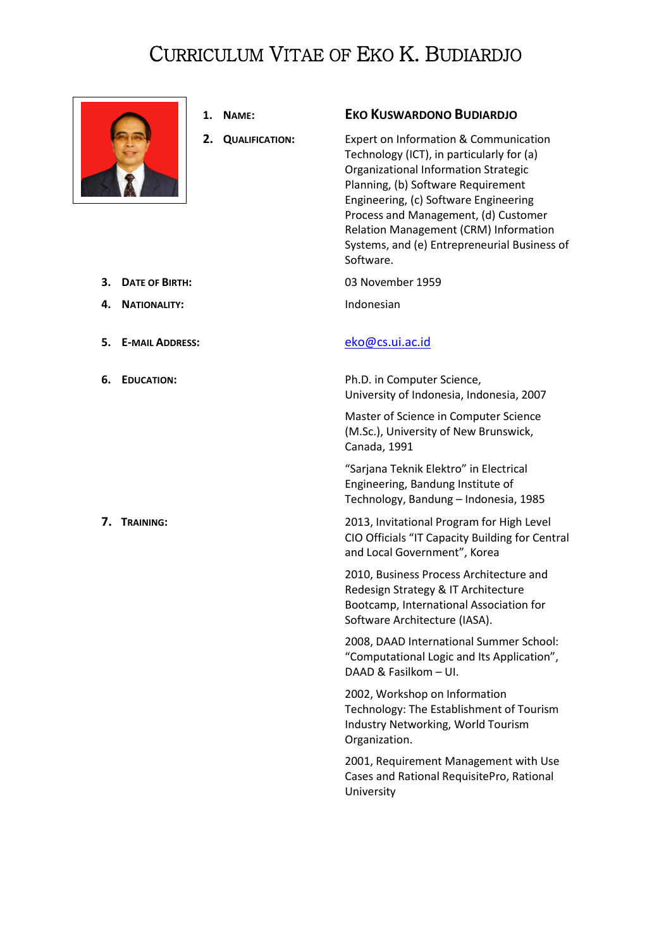## CURRICULUM VITAE OF EKO K. BUDIARDJO



- 
- 

## **1. NAME: EKO KUSWARDONO BUDIARDJO**

**2. QUALIFICATION:** Expert on Information & Communication Technology (ICT), in particularly for (a) Organizational Information Strategic Planning, (b) Software Requirement Engineering, (c) Software Engineering Process and Management, (d) Customer Relation Management (CRM) Information Systems, and (e) Entrepreneurial Business of Software.

**3. DATE OF BIRTH:** 03 November 1959

**6. EDUCATION:** Ph.D. in Computer Science, University of Indonesia, Indonesia, 2007

> Master of Science in Computer Science (M.Sc.), University of New Brunswick, Canada, 1991

"Sarjana Teknik Elektro" in Electrical Engineering, Bandung Institute of Technology, Bandung – Indonesia, 1985

**7. TRAINING: 1.2013 2013**, Invitational Program for High Level CIO Officials "IT Capacity Building for Central and Local Government", Korea

> 2010, Business Process Architecture and Redesign Strategy & IT Architecture Bootcamp, International Association for Software Architecture (IASA).

2008, DAAD International Summer School: "Computational Logic and Its Application", DAAD & Fasilkom – UI.

2002, Workshop on Information Technology: The Establishment of Tourism Industry Networking, World Tourism Organization.

2001, Requirement Management with Use Cases and Rational RequisitePro, Rational University

- **4. NATIONALITY:** Indonesian
- **5. E-MAIL ADDRESS:** [eko@cs.ui.ac.id](mailto:eko@cs.ui.ac.id)
-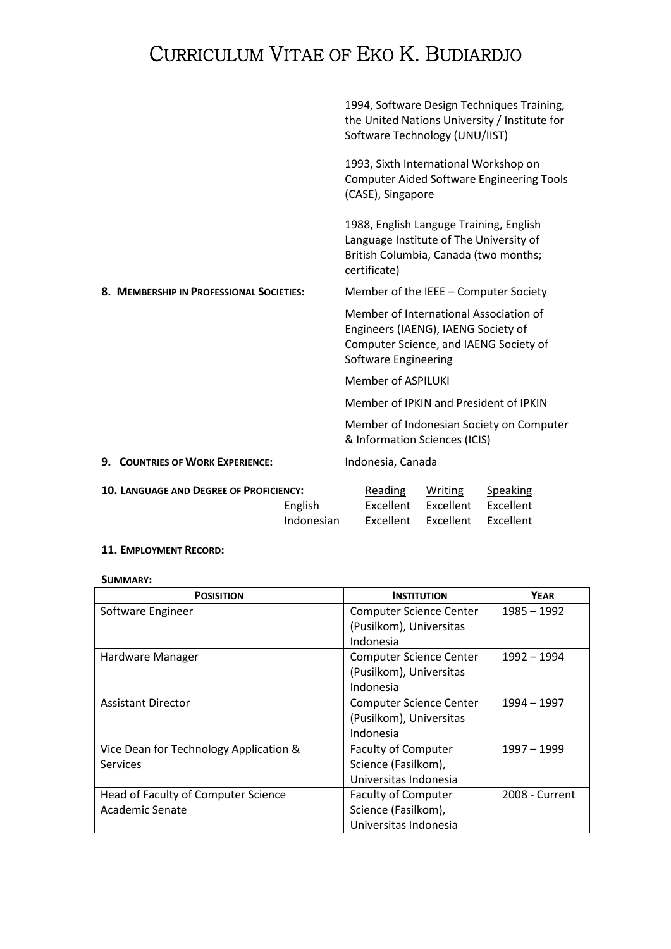# CURRICULUM VITAE OF EKO K. BUDIARDJO

|                                          |                                                |                                       |  |                                   | Software Technology (UNU/IIST)                                                     | 1994, Software Design Techniques Training,<br>the United Nations University / Institute for |
|------------------------------------------|------------------------------------------------|---------------------------------------|--|-----------------------------------|------------------------------------------------------------------------------------|---------------------------------------------------------------------------------------------|
|                                          |                                                |                                       |  | (CASE), Singapore                 | 1993, Sixth International Workshop on                                              | <b>Computer Aided Software Engineering Tools</b>                                            |
|                                          |                                                |                                       |  | certificate)                      | 1988, English Languge Training, English<br>Language Institute of The University of | British Columbia, Canada (two months;                                                       |
| 8. MEMBERSHIP IN PROFESSIONAL SOCIETIES: |                                                | Member of the IEEE - Computer Society |  |                                   |                                                                                    |                                                                                             |
|                                          |                                                |                                       |  | Software Engineering              | Engineers (IAENG), IAENG Society of                                                | Member of International Association of<br>Computer Science, and IAENG Society of            |
|                                          |                                                |                                       |  | <b>Member of ASPILUKI</b>         |                                                                                    |                                                                                             |
|                                          |                                                |                                       |  |                                   |                                                                                    | Member of IPKIN and President of IPKIN                                                      |
|                                          |                                                |                                       |  |                                   | & Information Sciences (ICIS)                                                      | Member of Indonesian Society on Computer                                                    |
| 9. COUNTRIES OF WORK EXPERIENCE:         |                                                |                                       |  | Indonesia, Canada                 |                                                                                    |                                                                                             |
|                                          | <b>10. LANGUAGE AND DEGREE OF PROFICIENCY:</b> | English<br>Indonesian                 |  | Reading<br>Excellent<br>Excellent | Writing<br>Excellent<br>Excellent                                                  | <b>Speaking</b><br>Excellent<br>Excellent                                                   |

### **11. EMPLOYMENT RECORD:**

**SUMMARY:**

| <b>POSISITION</b>                      | <b>INSTITUTION</b>             | <b>YEAR</b>    |
|----------------------------------------|--------------------------------|----------------|
| Software Engineer                      | <b>Computer Science Center</b> | $1985 - 1992$  |
|                                        | (Pusilkom), Universitas        |                |
|                                        | Indonesia                      |                |
| Hardware Manager                       | <b>Computer Science Center</b> | 1992 - 1994    |
|                                        | (Pusilkom), Universitas        |                |
|                                        | Indonesia                      |                |
| <b>Assistant Director</b>              | <b>Computer Science Center</b> | 1994 - 1997    |
|                                        | (Pusilkom), Universitas        |                |
|                                        | Indonesia                      |                |
| Vice Dean for Technology Application & | <b>Faculty of Computer</b>     | 1997 - 1999    |
| <b>Services</b>                        | Science (Fasilkom),            |                |
|                                        | Universitas Indonesia          |                |
| Head of Faculty of Computer Science    | <b>Faculty of Computer</b>     | 2008 - Current |
| <b>Academic Senate</b>                 | Science (Fasilkom),            |                |
|                                        | Universitas Indonesia          |                |